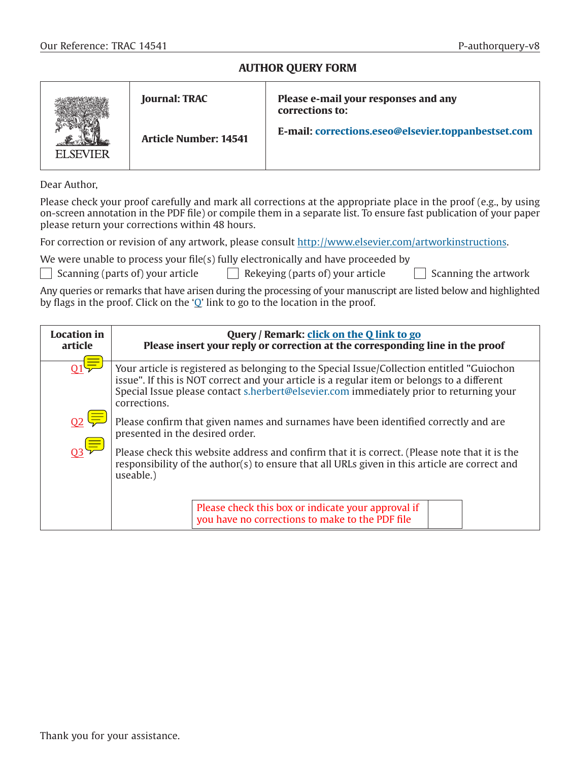### **AUTHOR QUERY FORM**

|                  | <b>Journal: TRAC</b>         | Please e-mail your responses and any<br>corrections to: |  |
|------------------|------------------------------|---------------------------------------------------------|--|
| <b>FI SEVIER</b> | <b>Article Number: 14541</b> | E-mail: corrections.eseo@elsevier.toppanbestset.com     |  |

Dear Author,

Please check your proof carefully and mark all corrections at the appropriate place in the proof (e.g., by using on-screen annotation in the PDF file) or compile them in a separate list. To ensure fast publication of your paper please return your corrections within 48 hours.

For correction or revision of any artwork, please consult [http://www.elsevier.com/artworkinstructions.](http://www.elsevier.com/artworkinstructions)

We were unable to process your file(s) fully electronically and have proceeded by

|  | $\Box$ Scanning (parts of) your article |  |  |
|--|-----------------------------------------|--|--|
|  |                                         |  |  |

 $\epsilon$  Rekeying (parts of) your article  $\Box$  Scanning the artwork

<span id="page-0-0"></span>

Any queries or remarks that have arisen during the processing of your manuscript are listed below and highlighted by flags in the proof. Click on the 'Q' link to go to the location in the proof.

| <b>Location</b> in<br>article | Query / Remark: click on the Q link to go<br>Please insert your reply or correction at the corresponding line in the proof                                                                                                                                                                           |  |  |  |  |
|-------------------------------|------------------------------------------------------------------------------------------------------------------------------------------------------------------------------------------------------------------------------------------------------------------------------------------------------|--|--|--|--|
| 01 <sup>5</sup>               | Your article is registered as belonging to the Special Issue/Collection entitled "Guiochon<br>issue". If this is NOT correct and your article is a regular item or belongs to a different<br>Special Issue please contact s.herbert@elsevier.com immediately prior to returning your<br>corrections. |  |  |  |  |
| $\overline{Q2}$               | Please confirm that given names and surnames have been identified correctly and are<br>presented in the desired order.                                                                                                                                                                               |  |  |  |  |
| $\mathbb{Q}^{\bigoplus}$      | Please check this website address and confirm that it is correct. (Please note that it is the<br>responsibility of the author(s) to ensure that all URLs given in this article are correct and<br>useable.)                                                                                          |  |  |  |  |
|                               | Please check this box or indicate your approval if<br>you have no corrections to make to the PDF file                                                                                                                                                                                                |  |  |  |  |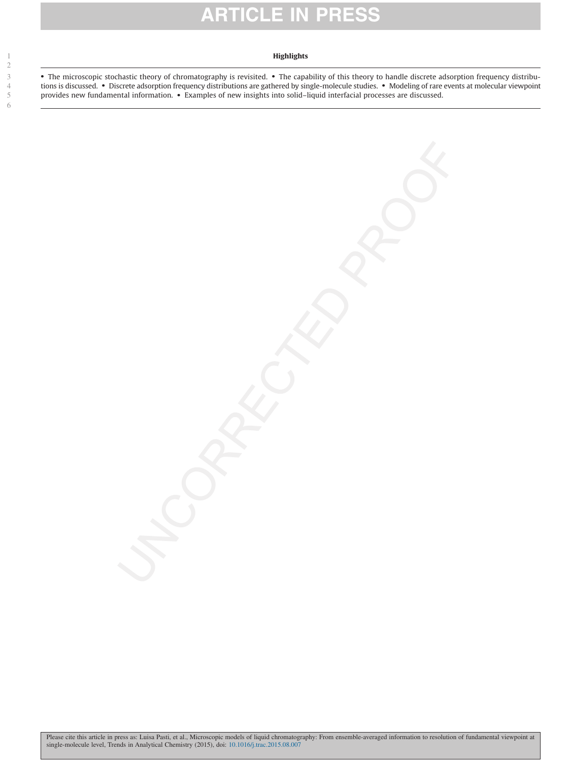# **ARTICLE IN PR**

#### **Highlights**

6

1

• The microscopic stochastic theory of chromatography is revisited. • The capability of this theory to handle discrete adsorption frequency distributions is discussed. • Discrete adsorption frequency distributions are gathered by single-molecule studies. • Modeling of rare events at molecular viewpoint provides new fundamental information. • Examples of new insights into solid–liquid interfacial processes are discussed.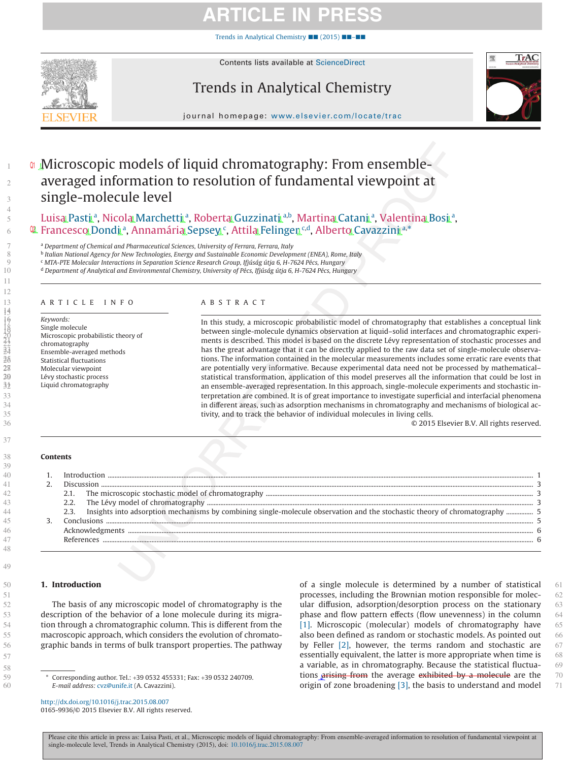# **ARTICLE IN PR**

[Trends in Analytical Chemistry](http://dx.doi.org/10.1016/j.trac.2015.08.007) ■■ (2015) ■■–■■



Contents lists available at [ScienceDirect](http://www.sciencedirect.com/science/journal/01659936)

## Trends in Analytical Chemistry



journal homepage: [www.elsevier.com/locate/trac](http://www.elsevier.com/locate/TRAC)

### <span id="page-2-0"></span>**Microscopic models of liquid chromatography: From ensemble**averaged information to resolution of fundamental viewpoint at single-molecule level

Luis[a](#page-2-2) Pasti'<sup>a</sup>, Nicola Marchetti'<sup>a</sup>, Roberta Guzzinati'<sup>[a,](#page-2-2)[b](#page-2-3)</sup>, Martina Catani'<sup>a</sup>, Valentina Bosi'<sup>a</sup>, <sup>@</sup> Fr[a](#page-2-2)n[c](#page-2-4)esco Dondi ª, Annamária Sepsey °, Attila Felingen <sup>c,d</sup>, Alberto Cavazzini ª<sup>,</sup>[\\*](#page-2-6)

<span id="page-2-2"></span><sup>a</sup> *Department of Chemical and Pharmaceutical Sciences, University of Ferrara, Ferrara, Italy*

<span id="page-2-3"></span><sup>b</sup> *Italian National Agency for New Technologies, Energy and Sustainable Economic Development (ENEA), Rome, Italy*

<span id="page-2-4"></span><sup>c</sup> *MTA-PTE Molecular Interactions in Separation Science Research Group, Ifjúság útja 6, H-7624 Pécs, Hungary*

<span id="page-2-5"></span><sup>d</sup> *Department of Analytical and Environmental Chemistry, University of Pécs, Ifjúság útja 6, H-7624 Pécs, Hungary*

#### ARTICLE INFO

*Keywords:* Single molecule Microscopic probabilistic theory of chromatography Ensemble-averaged methods Statistical fluctuations Molecular viewpoint Lévy stochastic process Liquid chromatography

#### ABSTRACT

In this study, a microscopic probabilistic model of chromatography that establishes a conceptual link between single-molecule dynamics observation at liquid–solid interfaces and chromatographic experiments is described. This model is based on the discrete Lévy representation of stochastic processes and has the great advantage that it can be directly applied to the raw data set of single-molecule observations. The information contained in the molecular measurements includes some erratic rare events that are potentially very informative. Because experimental data need not be processed by mathematical– statistical transformation, application of this model preserves all the information that could be lost in an ensemble-averaged representation. In this approach, single-molecule experiments and stochastic interpretation are combined. It is of great importance to investigate superficial and interfacial phenomena in different areas, such as adsorption mechanisms in chromatography and mechanisms of biological activity, and to track the behavior of individual molecules in living cells.

<span id="page-2-1"></span>© 2015 Elsevier B.V. All rights reserved.

#### **Contents**

|  | フフ |                                                                                                                             |  |  |
|--|----|-----------------------------------------------------------------------------------------------------------------------------|--|--|
|  |    | Insights into adsorption mechanisms by combining single-molecule observation and the stochastic theory of chromatography  5 |  |  |
|  |    |                                                                                                                             |  |  |
|  |    |                                                                                                                             |  |  |
|  |    |                                                                                                                             |  |  |
|  |    |                                                                                                                             |  |  |

#### **1. Introduction**

The basis of any microscopic model of chromatography is the description of the behavior of a lone molecule during its migration through a chromatographic column. This is different from the macroscopic approach, which considers the evolution of chromatographic bands in terms of bulk transport properties. The pathway

<span id="page-2-6"></span>Corresponding author. Tel.: +39 0532 455331; Fax: +39 0532 240709. *E-mail address:* [cvz@unife.it](mailto:cvz@unife.it) (A. Cavazzini).

http://dx.doi.org/10.1016/j.trac.2015.08.007 0165-9936/© 2015 Elsevier B.V. All rights reserved. of a single molecule is determined by a number of statistical processes, including the Brownian motion responsible for molecular diffusion, adsorption/desorption process on the stationary phase and flow pattern effects (flow unevenness) in the column [\[1\].](#page-7-1) Microscopic (molecular) models of chromatography have also been defined as random or stochastic models. As pointed out by Feller [\[2\],](#page-7-2) however, the terms random and stochastic are essentially equivalent, the latter is more appropriate when time is a variable, as in chromatography. Because the statistical fluctuations arising from the average exhibited by a molecule are the origin of zone broadening [\[3\],](#page-7-3) the basis to understand and model 61 62 63 64 65 66 67 68 69 70 71

1  $\overline{2}$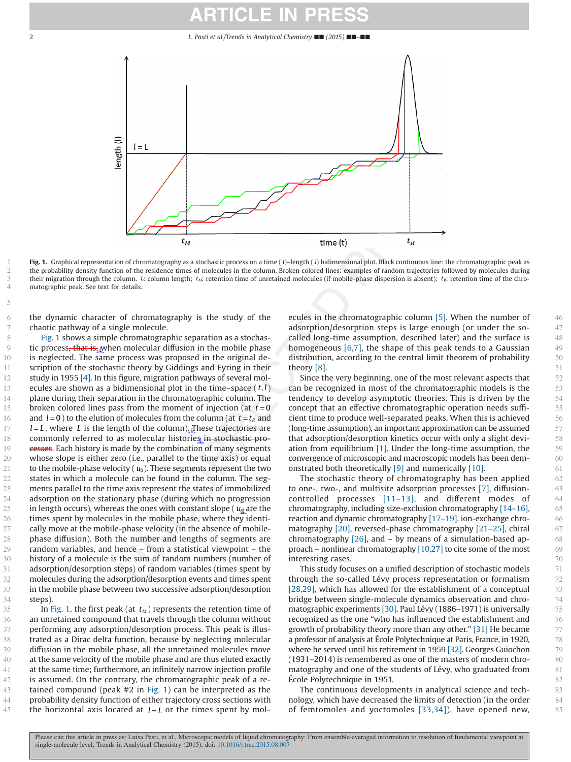## **ARTICLE IN**

<span id="page-3-0"></span>2 *L. Pasti et al./Trends in Analytical Chemistry* ■■ *(2015)* ■■*–*■■



**Fig. 1.** Graphical representation of chromatography as a stochastic process on a time ( *t*)–length ( *l*) bidimensional plot. Black continuous line: the chromatographic peak as the probability density function of the residence times of molecules in the column. Broken colored lines: examples of random trajectories followed by molecules during their migration through the column. *L*: column length; *t<sub>M</sub>*: retention time of unretained molecules (if mobile-phase dispersion is absent); *t<sub>R</sub>*: retention time of the chromatographic peak. See text for details.

the dynamic character of chromatography is the study of the chaotic pathway of a single molecule.

Fig. 1 shows a simple chromatographic separation as a stochastic process, that is, when molecular diffusion in the mobile phase is neglected. The same process was proposed in the original description of the stochastic theory by Giddings and Eyring in their study in 1955 [\[4\].](#page-7-4) In this figure, migration pathways of several molecules are shown as a bidimensional plot in the time–space  $(t, l)$ plane during their separation in the chromatographic column. The broken colored lines pass from the moment of injection (at *t* = 0 and  $l = 0$ ) to the elution of molecules from the column (at  $t = t<sub>R</sub>$  and  $l = L$ , where L is the length of the column). These trajectories are commonly referred to as molecular histories in stochastic processes. Each history is made by the combination of many segments whose slope is either zero (i.e., parallel to the time axis) or equal to the mobile-phase velocity  $(u_0)$ . These segments represent the two states in which a molecule can be found in the column. The segments parallel to the time axis represent the states of immobilized adsorption on the stationary phase (during which no progression in length occurs), whereas the ones with constant slope  $\left(u_{\text{d}}\right)$  are the times spent by molecules in the mobile phase, where they identically move at the mobile-phase velocity (in the absence of mobilephase diffusion). Both the number and lengths of segments are random variables, and hence – from a statistical viewpoint – the history of a molecule is the sum of random numbers (number of adsorption/desorption steps) of random variables (times spent by molecules during the adsorption/desorption events and times spent in the mobile phase between two successive adsorption/desorption steps).

In Fig. 1, the first peak (at  $t_M$ ) represents the retention time of an unretained compound that travels through the column without performing any adsorption/desorption process. This peak is illustrated as a Dirac delta function, because by neglecting molecular diffusion in the mobile phase, all the unretained molecules move at the same velocity of the mobile phase and are thus eluted exactly at the same time; furthermore, an infinitely narrow injection profile is assumed. On the contrary, the chromatographic peak of a retained compound (peak #2 in Fig. 1) can be interpreted as the probability density function of either trajectory cross sections with the horizontal axis located at  $l = L$  or the times spent by molecules in the chromatographic column [\[5\].](#page-7-5) When the number of adsorption/desorption steps is large enough (or under the socalled long-time assumption, described later) and the surface is homogeneous [\[6,7\],](#page-7-6) the shape of this peak tends to a Gaussian distribution, according to the central limit theorem of probability theory [\[8\].](#page-7-7)

Since the very beginning, one of the most relevant aspects that can be recognized in most of the chromatographic models is the tendency to develop asymptotic theories. This is driven by the concept that an effective chromatographic operation needs sufficient time to produce well-separated peaks. When this is achieved (long-time assumption), an important approximation can be assumed that adsorption/desorption kinetics occur with only a slight deviation from equilibrium [\[1\].](#page-7-1) Under the long-time assumption, the convergence of microscopic and macroscopic models has been demonstrated both theoretically [\[9\]](#page-7-8) and numerically [\[10\].](#page-7-9)

The stochastic theory of chromatography has been applied to one-, two-, and multisite adsorption processes [\[7\],](#page-7-10) diffusioncontrolled processes [\[11–13\],](#page-7-11) and different modes of chromatography, including size-exclusion chromatography [\[14–16\],](#page-7-12) reaction and dynamic chromatography [\[17–19\],](#page-7-13) ion-exchange chromatography [\[20\],](#page-7-14) reversed-phase chromatography [\[21–25\],](#page-7-15) chiral chromatography [\[26\],](#page-7-16) and – by means of a simulation-based approach – nonlinear chromatography [\[10,27\]](#page-7-9) to cite some of the most interesting cases.

This study focuses on a unified description of stochastic models through the so-called Lévy process representation or formalism [\[28,29\],](#page-7-17) which has allowed for the establishment of a conceptual bridge between single-molecule dynamics observation and chromatographic experiments [\[30\].](#page-7-18) Paul Lévy (1886–1971) is universally recognized as the one "who has influenced the establishment and growth of probability theory more than any other." [\[31\]](#page-7-19) He became a professor of analysis at École Polytechnique at Paris, France, in 1920, where he served until his retirement in 1959 [\[32\].](#page-7-20) Georges Guiochon (1931–2014) is remembered as one of the masters of modern chromatography and one of the students of Lévy, who graduated from École Polytechnique in 1951.

The continuous developments in analytical science and technology, which have decreased the limits of detection (in the order of femtomoles and yoctomoles [\[33,34\]\)](#page-7-21), have opened new,

> Please cite this article in press as: Luisa Pasti, et al., Microscopic models of liquid chromatography: From ensemble-averaged information to resolution of fundamental viewpoint at single-molecule level, Trends in Analytical Chemistry (2015), doi: [10.1016/j.trac.2015.08.007](http://dx.doi.org/10.1016/j.trac.2015.08.007)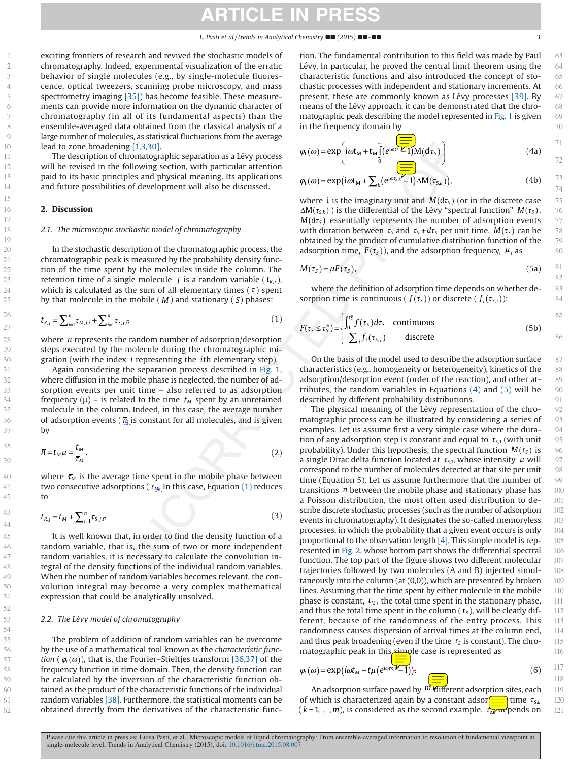# **ARTICLE IN PRESS**

exciting frontiers of research and revived the stochastic models of chromatography. Indeed, experimental visualization of the erratic behavior of single molecules (e.g., by single-molecule fluorescence, optical tweezers, scanning probe microscopy, and mass spectrometry imaging [\[35\]\)](#page-7-22) has become feasible. These measurements can provide more information on the dynamic character of chromatography (in all of its fundamental aspects) than the ensemble-averaged data obtained from the classical analysis of a large number of molecules, as statistical fluctuations from the average lead to zone broadening [\[1,3,30\].](#page-7-1)

The description of chromatographic separation as a Lévy process will be revised in the following section, with particular attention paid to its basic principles and physical meaning. Its applications and future possibilities of development will also be discussed.

#### **2. Discussion**

#### *2.1. The microscopic stochastic model of chromatography*

In the stochastic description of the chromatographic process, the chromatographic peak is measured by the probability density function of the time spent by the molecules inside the column. The retention time of a single molecule  $j$  is a random variable ( $t_{R,j}$ ), which is calculated as the sum of all elementary times ( $\tau$ ) spent by that molecule in the mobile ( *M* ) and stationary ( *S*) phases:

<span id="page-4-0"></span>
$$
t_{R,j} = \sum_{i=1}^{n} \tau_{M,j,i} + \sum_{i=1}^{n} \tau_{S,j,i},
$$
 (1)

where *n* represents the random number of adsorption/desorption steps executed by the molecule during the chromatographic migration (with the index *i* representing the *i*th elementary step).

Again considering the separation process described in [Fig. 1,](#page-3-0) where diffusion in the mobile phase is neglected, the number of adsorption events per unit time – also referred to as adsorption frequency ( $\mu$ ) – is related to the time  $t_M$  spent by an unretained molecule in the column. Indeed, in this case, the average number of adsorption events ( $\bar{\eta}$  is constant for all molecules, and is given by

$$
\overline{n} = t_M \mu = \frac{t_M}{\overline{\tau}_M}.\tag{2}
$$

where  $\bar{\tau}_M$  is the average time spent in the mobile phase between two consecutive adsorptions (  $τ_{M}$  In this case, Equation [\(1\)](#page-4-0) reduces to

$$
t_{R,j} = t_M + \sum_{i=1}^n \tau_{S,j,i}.
$$
 (3)

It is well known that, in order to find the density function of a random variable, that is, the sum of two or more independent random variables, it is necessary to calculate the convolution integral of the density functions of the individual random variables. When the number of random variables becomes relevant, the convolution integral may become a very complex mathematical expression that could be analytically unsolved.

#### *2.2. The Lévy model of chromatography*

The problem of addition of random variables can be overcome by the use of a mathematical tool known as the *characteristic function* ( $\varphi_t(\omega)$ ), that is, the Fourier–Stieltjes transform [\[36,37\]](#page-7-23) of the frequency function in time domain. Then, the density function can be calculated by the inversion of the characteristic function obtained as the product of the characteristic functions of the individual random variables [\[38\].](#page-7-24) Furthermore, the statistical moments can be obtained directly from the derivatives of the characteristic func-

tion. The fundamental contribution to this field was made by Paul Lévy. In particular, he proved the central limit theorem using the characteristic functions and also introduced the concept of stochastic processes with independent and stationary increments. At present, these are commonly known as Lévy processes [\[39\].](#page-7-25) By means of the Lévy approach, it can be demonstrated that the chromatographic peak describing the model represented in [Fig. 1](#page-3-0) is given in the frequency domain by

<span id="page-4-1"></span>
$$
\varphi_{t}(\omega) = \exp\left(i\omega t_{M} + t_{M} \int_{0}^{\infty} (e^{i\omega \tau_{S}} \angle 1) M(d\tau_{S})\right)
$$
\n(4a)

<span id="page-4-3"></span>
$$
\varphi_{t}(\omega) = \exp\left(i\omega t_{M} + \sum_{k} \left(e^{i\omega t_{S,k}} - 1\right) \Delta M(\tau_{S,k})\right),\tag{4b}
$$

where i is the imaginary unit and  $M(d\tau_s)$  (or in the discrete case  $\Delta M(\tau_{S,k})$ ) is the differential of the Lévy "spectral function"  $M(\tau_{S})$ .  $M(d\tau_s)$  essentially represents the number of adsorption events with duration between  $\tau_s$  and  $\tau_s + d\tau_s$  per unit time.  $M(\tau_s)$  can be obtained by the product of cumulative distribution function of the adsorption time,  $F(\tau_s)$ , and the adsorption frequency,  $\mu$ , as

<span id="page-4-2"></span>
$$
M(\tau_s) = \mu F(\tau_s), \tag{5a}
$$

where the definition of adsorption time depends on whether desorption time is continuous (  $f(\tau_s)$  ) or discrete (  $f_i(\tau_{s,i})$ ):

$$
F(\tau_S \le \tau_S^*) = \begin{cases} \int_0^{\tau_S^*} f(\tau_S) d\tau_S & \text{continuous} \\ \sum_j f_j(\tau_{S,j}) & \text{discrete} \end{cases}
$$
 (5b)

On the basis of the model used to describe the adsorption surface characteristics (e.g., homogeneity or heterogeneity), kinetics of the adsorption/desorption event (order of the reaction), and other attributes, the random variables in Equations [\(4\)](#page-4-1) and [\(5\)](#page-4-2) will be described by different probability distributions.

The physical meaning of the Lévy representation of the chromatographic process can be illustrated by considering a series of examples. Let us assume first a very simple case where the duration of any adsorption step is constant and equal to  $\tau_{s1}$  (with unit probability). Under this hypothesis, the spectral function  $M(\tau_s)$  is a single Dirac delta function located at  $\tau_{S,1}$ , whose intensity  $\mu$  will correspond to the number of molecules detected at that site per unit time (Equation [5\)](#page-4-2). Let us assume furthermore that the number of transitions *n* between the mobile phase and stationary phase has a Poisson distribution, the most often used distribution to describe discrete stochastic processes (such as the number of adsorption events in chromatography). It designates the so-called memoryless processes, in which the probability that a given event occurs is only proportional to the observation length [\[4\].](#page-7-4) This simple model is represented in [Fig. 2,](#page-5-0) whose bottom part shows the differential spectral function. The top part of the figure shows two different molecular trajectories followed by two molecules (A and B) injected simultaneously into the column (at (0,0)), which are presented by broken lines. Assuming that the time spent by either molecule in the mobile phase is constant,  $t_M$ , the total time spent in the stationary phase, and thus the total time spent in the column  $(t_R)$ , will be clearly different, because of the randomness of the entry process. This randomness causes dispersion of arrival times at the column end, and thus peak broadening (even if the time  $\tau_s$  is constant). The chromatographic peak in this simple case is represented as

$$
\varphi_t(\omega) = \exp(i\omega t_M + t\mu(e^{i\omega ts}) - 1)); \tag{6}
$$

An adsorption surface paved by  $m$  different adsorption sites, each of which is characterized again by a constant adsor $\frac{1}{\sqrt{2}}$  time  $\tau_{S,k}$ ( *k* = 1, ..., *m*), is considered as the second example.  $τ_{s}$ , αε pends on

63

86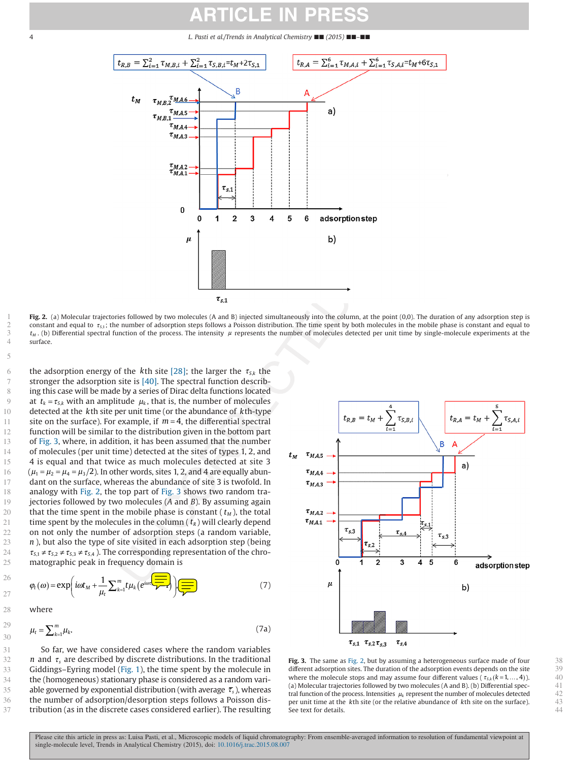## **ARTICLE IN PRESS**

#### <span id="page-5-0"></span>4 *L. Pasti et al./Trends in Analytical Chemistry* ■■ *(2015)* ■■*–*■■



**Fig. 2.** (a) Molecular trajectories followed by two molecules (A and B) injected simultaneously into the column, at the point (0,0). The duration of any adsorption step is constant and equal to  $\tau_{5,1}$ ; the number of adsorption steps follows a Poisson distribution. The time spent by both molecules in the mobile phase is constant and equal to *t<sub>M</sub>*. (b) Differential spectral function of the process. The intensity μ represents the number of molecules detected per unit time by single-molecule experiments at the surface.

the adsorption energy of the *k*th site [\[28\];](#page-7-17) the larger the  $\tau_{S_k}$  the stronger the adsorption site is [\[40\].](#page-7-26) The spectral function describing this case will be made by a series of Dirac delta functions located at  $t_k = \tau_{Sk}$  with an amplitude  $\mu_k$ , that is, the number of molecules detected at the *k*th site per unit time (or the abundance of *k*th-type site on the surface). For example, if  $m = 4$ , the differential spectral function will be similar to the distribution given in the bottom part of Fig. 3, where, in addition, it has been assumed that the number of molecules (per unit time) detected at the sites of types 1, 2, and 4 is equal and that twice as much molecules detected at site 3  $(\mu_1 = \mu_2 = \mu_4 = \mu_3/2)$ . In other words, sites 1, 2, and 4 are equally abundant on the surface, whereas the abundance of site 3 is twofold. In analogy with Fig. 2, the top part of Fig. 3 shows two random trajectories followed by two molecules (*A* and *B*). By assuming again that the time spent in the mobile phase is constant  $(t<sub>M</sub>)$ , the total time spent by the molecules in the column  $(t_R)$  will clearly depend on not only the number of adsorption steps (a random variable, *n* ), but also the type of site visited in each adsorption step (being  $\tau_{S,1} \neq \tau_{S,2} \neq \tau_{S,3} \neq \tau_{S,4}$ ). The corresponding representation of the chromatographic peak in frequency domain is

<span id="page-5-1"></span>ϕω ω μ μ ωτ *t M t <sup>k</sup> <sup>i</sup> k m it t e S k* ( ) =+ − ( ) <sup>⎛</sup> ⎝ <sup>⎜</sup> <sup>⎞</sup> <sup>⎠</sup> <sup>∑</sup> <sup>=</sup> <sup>⎟</sup> exp , , <sup>1</sup> <sup>1</sup> <sup>1</sup> (7)

$$
\mu_t = \sum_{k=1}^m \mu_k. \tag{7a}
$$

So far, we have considered cases where the random variables *n* and  $\tau_s$  are described by discrete distributions. In the traditional Giddings–Eyring model [\(Fig. 1\)](#page-3-0), the time spent by the molecule in the (homogeneous) stationary phase is considered as a random variable governed by exponential distribution (with average  $\bar{\tau}_s$ ), whereas the number of adsorption/desorption steps follows a Poisson distribution (as in the discrete cases considered earlier). The resulting



**Fig. 3.** The same as Fig. 2, but by assuming a heterogeneous surface made of four different adsorption sites. The duration of the adsorption events depends on the site where the molecule stops and may assume four different values ( $\tau_{s,k}$  ( $k = 1, ..., 4$ )). (a) Molecular trajectories followed by two molecules (A and B). (b) Differential spectral function of the process. Intensities <sup>μ</sup>*<sup>k</sup>* represent the number of molecules detected per unit time at the *k*th site (or the relative abundance of *k*th site on the surface). See text for details.

1 2

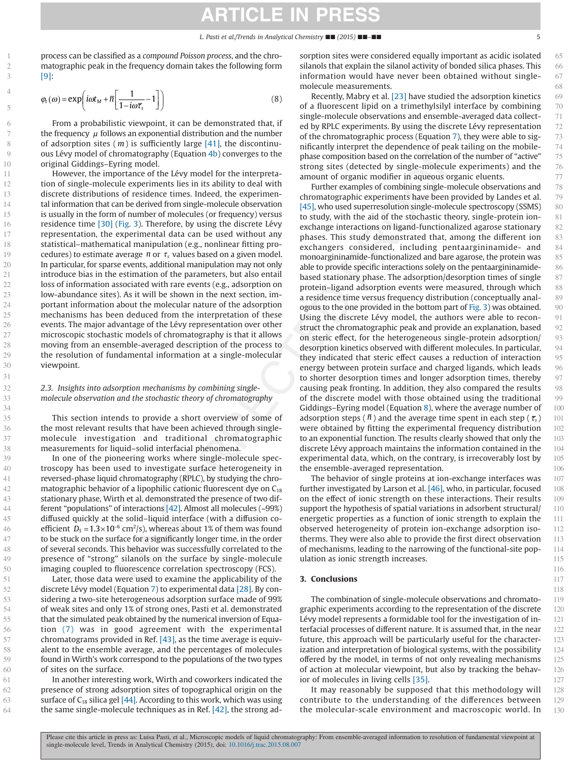# **ARTICLE IN PRESS**

process can be classified as a *compound Poisson process*, and the chromatographic peak in the frequency domain takes the following form [\[9\]:](#page-7-8)

<span id="page-6-0"></span>
$$
\varphi_t(\omega) = \exp\left(i\omega t_M + \overline{n}\left[\frac{1}{1 - i\omega \overline{\tau}_s} - 1\right]\right)
$$
\n(8)

From a probabilistic viewpoint, it can be demonstrated that, if the frequency  $\mu$  follows an exponential distribution and the number of adsorption sites ( *m*) is sufficiently large [\[41\],](#page-7-27) the discontinuous Lévy model of chromatography (Equation [4b\)](#page-4-3) converges to the original Giddings–Eyring model.

However, the importance of the Lévy model for the interpretation of single-molecule experiments lies in its ability to deal with discrete distributions of residence times. Indeed, the experimental information that can be derived from single-molecule observation is usually in the form of number of molecules (or frequency) versus residence time [\[30\]](#page-7-18) [\(Fig. 3\)](#page-5-0). Therefore, by using the discrete Lévy representation, the experimental data can be used without any statistical–mathematical manipulation (e.g., nonlinear fitting procedures) to estimate average *n* or  $\tau_s$  values based on a given model. In particular, for sparse events, additional manipulation may not only introduce bias in the estimation of the parameters, but also entail loss of information associated with rare events (e.g., adsorption on low-abundance sites). As it will be shown in the next section, important information about the molecular nature of the adsorption mechanisms has been deduced from the interpretation of these events. The major advantage of the Lévy representation over other microscopic stochastic models of chromatography is that it allows moving from an ensemble-averaged description of the process to the resolution of fundamental information at a single-molecular viewpoint.

#### *2.3. Insights into adsorption mechanisms by combining singlemolecule observation and the stochastic theory of chromatography*

This section intends to provide a short overview of some of the most relevant results that have been achieved through singlemolecule investigation and traditional chromatographic measurements for liquid–solid interfacial phenomena.

In one of the pioneering works where single-molecule spectroscopy has been used to investigate surface heterogeneity in reversed-phase liquid chromatography (RPLC), by studying the chromatographic behavior of a lipophilic cationic fluorescent dye on  $C_{18}$ stationary phase, Wirth et al. demonstrated the presence of two different "populations" of interactions [\[42\].](#page-7-28) Almost all molecules (~99%) diffused quickly at the solid–liquid interface (with a diffusion coefficient  $D_{\rm s}$  = 1.3 $\times$ 10<sup>-6</sup> cm<sup>2</sup>/s), whereas about 1% of them was found to be stuck on the surface for a significantly longer time, in the order of several seconds. This behavior was successfully correlated to the presence of "strong" silanols on the surface by single-molecule imaging coupled to fluorescence correlation spectroscopy (FCS).

Later, those data were used to examine the applicability of the discrete Lévy model (Equation [7\)](#page-5-1) to experimental data [\[28\].](#page-7-17) By considering a two-site heterogeneous adsorption surface made of 99% of weak sites and only 1% of strong ones, Pasti et al. demonstrated that the simulated peak obtained by the numerical inversion of Equation [\(7\)](#page-5-1) was in good agreement with the experimental chromatograms provided in Ref. [\[43\],](#page-7-29) as the time average is equivalent to the ensemble average, and the percentages of molecules found in Wirth's work correspond to the populations of the two types of sites on the surface.

In another interesting work, Wirth and coworkers indicated the presence of strong adsorption sites of topographical origin on the surface of  $C_{18}$  silica gel [\[44\].](#page-7-30) According to this work, which was using the same single-molecule techniques as in Ref. [\[42\],](#page-7-28) the strong adsorption sites were considered equally important as acidic isolated silanols that explain the silanol activity of bonded silica phases. This information would have never been obtained without singlemolecule measurements.

Recently, Mabry et al. [\[23\]](#page-7-31) have studied the adsorption kinetics of a fluorescent lipid on a trimethylsilyl interface by combining single-molecule observations and ensemble-averaged data collected by RPLC experiments. By using the discrete Lévy representation of the chromatographic process (Equation [7\)](#page-5-1), they were able to significantly interpret the dependence of peak tailing on the mobilephase composition based on the correlation of the number of "active" strong sites (detected by single-molecule experiments) and the amount of organic modifier in aqueous organic eluents.

Further examples of combining single-molecule observations and chromatographic experiments have been provided by Landes et al. [\[45\],](#page-7-32) who used superresolution single-molecule spectroscopy (SSMS) to study, with the aid of the stochastic theory, single-protein ionexchange interactions on ligand-functionalized agarose stationary phases. This study demonstrated that, among the different ion exchangers considered, including pentaargininamide- and monoargininamide-functionalized and bare agarose, the protein was able to provide specific interactions solely on the pentaargininamidebased stationary phase. The adsorption/desorption times of single protein–ligand adsorption events were measured, through which a residence time versus frequency distribution (conceptually analogous to the one provided in the bottom part of [Fig. 3\)](#page-5-0) was obtained. Using the discrete Lévy model, the authors were able to reconstruct the chromatographic peak and provide an explanation, based on steric effect, for the heterogeneous single-protein adsorption/ desorption kinetics observed with different molecules. In particular, they indicated that steric effect causes a reduction of interaction energy between protein surface and charged ligands, which leads to shorter desorption times and longer adsorption times, thereby causing peak fronting. In addition, they also compared the results of the discrete model with those obtained using the traditional Giddings–Eyring model (Equation [8\)](#page-6-0), where the average number of adsorption steps ( $\bar{n}$ ) and the average time spent in each step ( $\bar{\tau}_{s}$ ) were obtained by fitting the experimental frequency distribution to an exponential function. The results clearly showed that only the discrete Lévy approach maintains the information contained in the experimental data, which, on the contrary, is irrecoverably lost by the ensemble-averaged representation.

The behavior of single proteins at ion-exchange interfaces was further investigated by Larson et al. [\[46\],](#page-7-33) who, in particular, focused on the effect of ionic strength on these interactions. Their results support the hypothesis of spatial variations in adsorbent structural/ energetic properties as a function of ionic strength to explain the observed heterogeneity of protein ion-exchange adsorption isotherms. They were also able to provide the first direct observation of mechanisms, leading to the narrowing of the functional-site population as ionic strength increases.

#### **3. Conclusions**

The combination of single-molecule observations and chromatographic experiments according to the representation of the discrete Lévy model represents a formidable tool for the investigation of interfacial processes of different nature. It is assumed that, in the near future, this approach will be particularly useful for the characterization and interpretation of biological systems, with the possibility offered by the model, in terms of not only revealing mechanisms of action at molecular viewpoint, but also by tracking the behavior of molecules in living cells [\[35\].](#page-7-22)

It may reasonably be supposed that this methodology will contribute to the understanding of the differences between the molecular-scale environment and macroscopic world. In

1 2